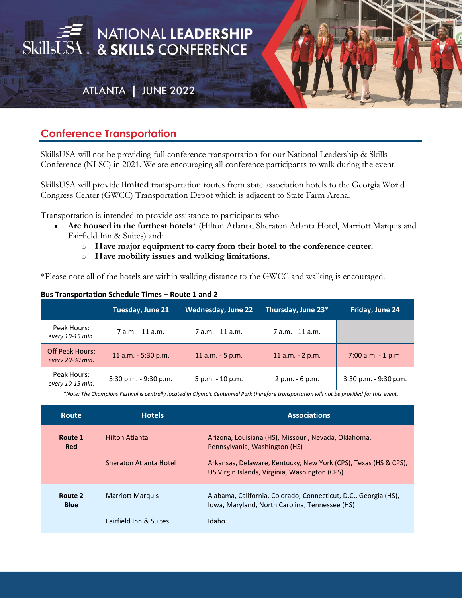

## **Conference Transportation**

SkillsUSA will not be providing full conference transportation for our National Leadership & Skills Conference (NLSC) in 2021. We are encouraging all conference participants to walk during the event.

SkillsUSA will provide **limited** transportation routes from state association hotels to the Georgia World Congress Center (GWCC) Transportation Depot which is adjacent to State Farm Arena.

Transportation is intended to provide assistance to participants who:

- **Are housed in the furthest hotels**\* (Hilton Atlanta, Sheraton Atlanta Hotel, Marriott Marquis and Fairfield Inn & Suites) and:
	- o **Have major equipment to carry from their hotel to the conference center.**
	- o **Have mobility issues and walking limitations.**

\*Please note all of the hotels are within walking distance to the GWCC and walking is encouraged.

| <b>DUS HUISPOLUTION SUICUUL TINGS TIOULE 1</b> |  |
|------------------------------------------------|--|
|                                                |  |
|                                                |  |

**Bus Transportation Schedule Times – Route 1 and 2**

|                                            | Tuesday, June 21      | <b>Wednesday, June 22</b> | Thursday, June 23* | Friday, June 24       |
|--------------------------------------------|-----------------------|---------------------------|--------------------|-----------------------|
| Peak Hours:<br>every 10-15 min.            | 7 a.m. - 11 a.m.      | 7 a.m. - 11 a.m.          | 7 a.m. - 11 a.m.   |                       |
| <b>Off Peak Hours:</b><br>every 20-30 min. | 11 a.m. - 5:30 p.m.   | 11 $a.m. - 5 p.m.$        | 11 a.m. - 2 p.m.   | $7:00$ a.m. $-1$ p.m. |
| Peak Hours:<br>every 10-15 min.            | 5:30 p.m. - 9:30 p.m. | 5 p.m. - 10 p.m.          | 2 p.m. - 6 p.m.    | 3:30 p.m. - 9:30 p.m. |

*\*Note: The Champions Festival is centrally located in Olympic Centennial Park therefore transportation will not be provided for this event.*

| <b>Route</b>           | <b>Hotels</b>                                                | <b>Associations</b>                                                                                                                                                                                       |
|------------------------|--------------------------------------------------------------|-----------------------------------------------------------------------------------------------------------------------------------------------------------------------------------------------------------|
| Route 1<br><b>Red</b>  | <b>Hilton Atlanta</b><br>Sheraton Atlanta Hotel              | Arizona, Louisiana (HS), Missouri, Nevada, Oklahoma,<br>Pennsylvania, Washington (HS)<br>Arkansas, Delaware, Kentucky, New York (CPS), Texas (HS & CPS),<br>US Virgin Islands, Virginia, Washington (CPS) |
| Route 2<br><b>Blue</b> | <b>Marriott Marquis</b><br><b>Fairfield Inn &amp; Suites</b> | Alabama, California, Colorado, Connecticut, D.C., Georgia (HS),<br>Iowa, Maryland, North Carolina, Tennessee (HS)<br>Idaho                                                                                |